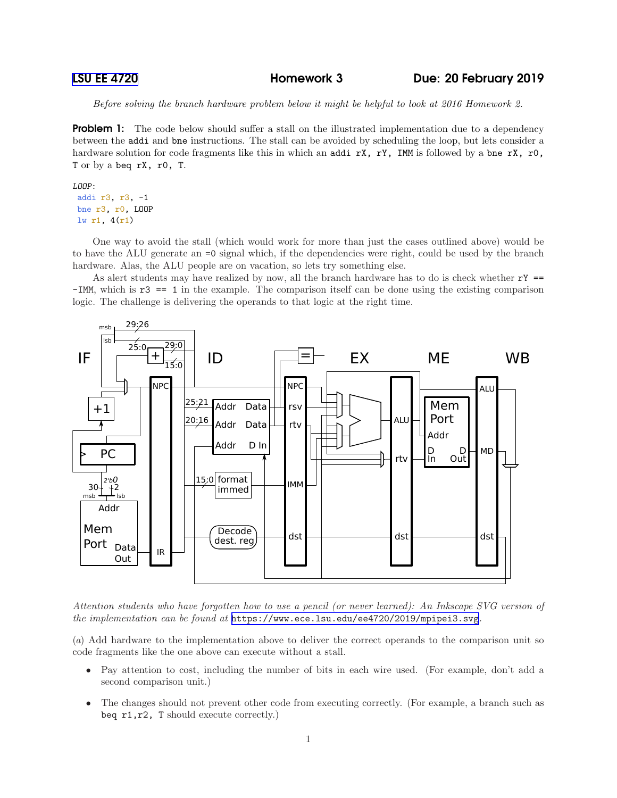```
LSU EE 4720 Homework 3 Due: 20 February 2019
```
*Before solving the branch hardware problem below it might be helpful to look at 2016 Homework 2.*

**Problem 1:** The code below should suffer a stall on the illustrated implementation due to a dependency between the addi and bne instructions. The stall can be avoided by scheduling the loop, but lets consider a hardware solution for code fragments like this in which an addi rX, rY, IMM is followed by a bne rX, r0, T or by a beq rX, r0, T.

## LOOP:

addi r3, r3, -1 bne r3, r0, LOOP lw r1, 4(r1)

One way to avoid the stall (which would work for more than just the cases outlined above) would be to have the ALU generate an =0 signal which, if the dependencies were right, could be used by the branch hardware. Alas, the ALU people are on vacation, so lets try something else.

As alert students may have realized by now, all the branch hardware has to do is check whether  $rY =$ -IMM, which is r3 == 1 in the example. The comparison itself can be done using the existing comparison logic. The challenge is delivering the operands to that logic at the right time.



*Attention students who have forgotten how to use a pencil (or never learned): An Inkscape SVG version of the implementation can be found at* <https://www.ece.lsu.edu/ee4720/2019/mpipei3.svg>*.*

(*a*) Add hardware to the implementation above to deliver the correct operands to the comparison unit so code fragments like the one above can execute without a stall.

- Pay attention to cost, including the number of bits in each wire used. (For example, don't add a second comparison unit.)
- The changes should not prevent other code from executing correctly. (For example, a branch such as beq r1,r2, T should execute correctly.)